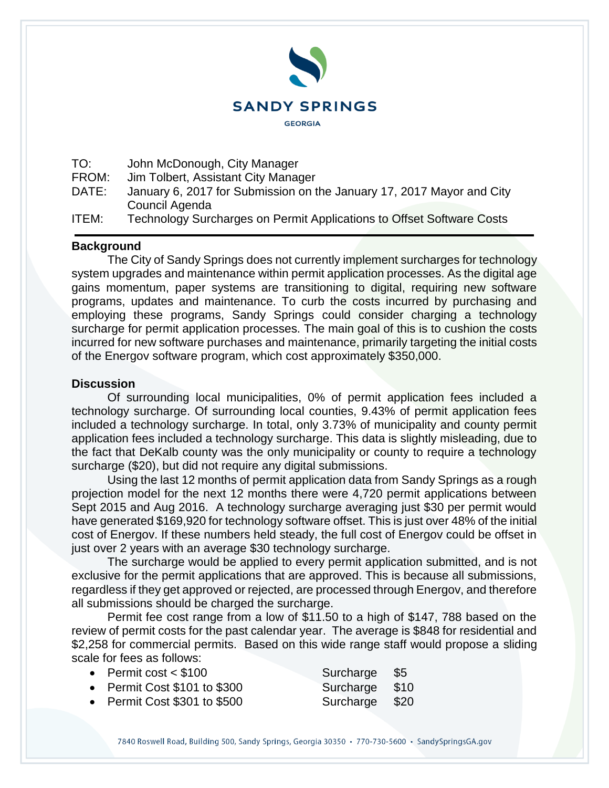

TO: John McDonough, City Manager

FROM: Jim Tolbert, Assistant City Manager

DATE: January 6, 2017 for Submission on the January 17, 2017 Mayor and City Council Agenda

ITEM: Technology Surcharges on Permit Applications to Offset Software Costs

## **Background**

The City of Sandy Springs does not currently implement surcharges for technology system upgrades and maintenance within permit application processes. As the digital age gains momentum, paper systems are transitioning to digital, requiring new software programs, updates and maintenance. To curb the costs incurred by purchasing and employing these programs, Sandy Springs could consider charging a technology surcharge for permit application processes. The main goal of this is to cushion the costs incurred for new software purchases and maintenance, primarily targeting the initial costs of the Energov software program, which cost approximately \$350,000.

## **Discussion**

Of surrounding local municipalities, 0% of permit application fees included a technology surcharge. Of surrounding local counties, 9.43% of permit application fees included a technology surcharge. In total, only 3.73% of municipality and county permit application fees included a technology surcharge. This data is slightly misleading, due to the fact that DeKalb county was the only municipality or county to require a technology surcharge (\$20), but did not require any digital submissions.

Using the last 12 months of permit application data from Sandy Springs as a rough projection model for the next 12 months there were 4,720 permit applications between Sept 2015 and Aug 2016. A technology surcharge averaging just \$30 per permit would have generated \$169,920 for technology software offset. This is just over 48% of the initial cost of Energov. If these numbers held steady, the full cost of Energov could be offset in just over 2 years with an average \$30 technology surcharge.

The surcharge would be applied to every permit application submitted, and is not exclusive for the permit applications that are approved. This is because all submissions, regardless if they get approved or rejected, are processed through Energov, and therefore all submissions should be charged the surcharge.

Permit fee cost range from a low of \$11.50 to a high of \$147, 788 based on the review of permit costs for the past calendar year. The average is \$848 for residential and \$2,258 for commercial permits. Based on this wide range staff would propose a sliding scale for fees as follows:

| • Permit cost $<$ \$100      | Surcharge \$5  |  |
|------------------------------|----------------|--|
| • Permit Cost \$101 to \$300 | Surcharge \$10 |  |
| • Permit Cost \$301 to \$500 | Surcharge \$20 |  |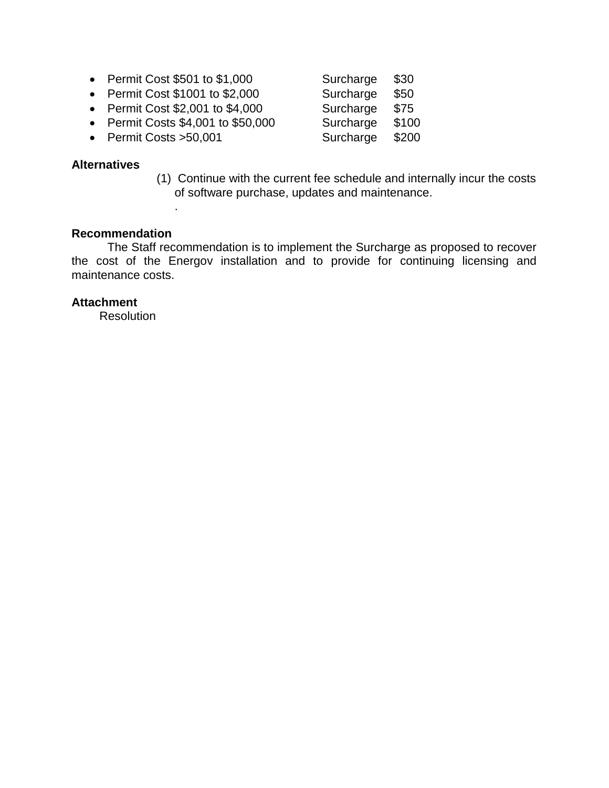• Permit Cost \$501 to \$1,000 Surcharge \$30 • Permit Cost \$1001 to \$2,000 Surcharge \$50 • Permit Cost \$2,001 to \$4,000 Surcharge \$75 • Permit Costs \$4,001 to \$50,000 Surcharge \$100 • Permit Costs >50,001 Surcharge \$200

## **Alternatives**

(1) Continue with the current fee schedule and internally incur the costs of software purchase, updates and maintenance.

## **Recommendation**

.

The Staff recommendation is to implement the Surcharge as proposed to recover the cost of the Energov installation and to provide for continuing licensing and maintenance costs.

### **Attachment**

**Resolution**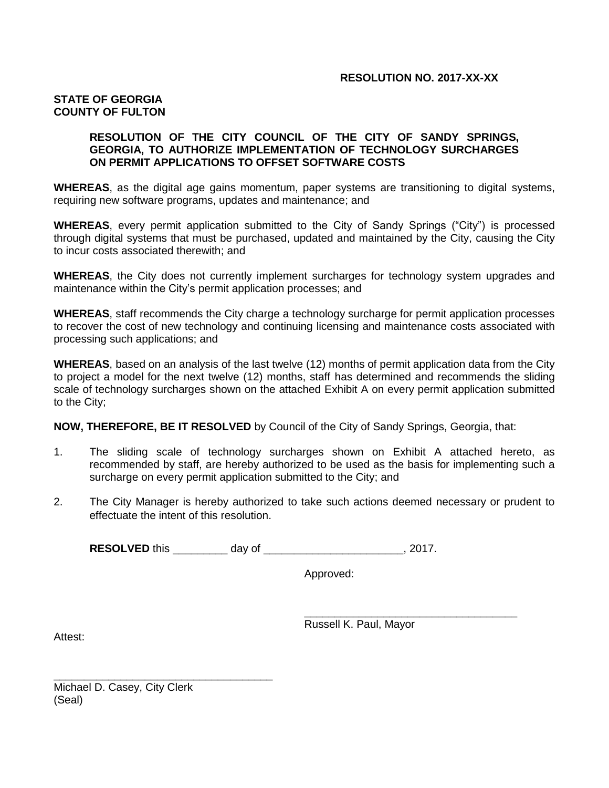#### **RESOLUTION NO. 2017-XX-XX**

#### **STATE OF GEORGIA COUNTY OF FULTON**

#### **RESOLUTION OF THE CITY COUNCIL OF THE CITY OF SANDY SPRINGS, GEORGIA, TO AUTHORIZE IMPLEMENTATION OF TECHNOLOGY SURCHARGES ON PERMIT APPLICATIONS TO OFFSET SOFTWARE COSTS**

**WHEREAS**, as the digital age gains momentum, paper systems are transitioning to digital systems, requiring new software programs, updates and maintenance; and

**WHEREAS**, every permit application submitted to the City of Sandy Springs ("City") is processed through digital systems that must be purchased, updated and maintained by the City, causing the City to incur costs associated therewith; and

**WHEREAS**, the City does not currently implement surcharges for technology system upgrades and maintenance within the City's permit application processes; and

**WHEREAS**, staff recommends the City charge a technology surcharge for permit application processes to recover the cost of new technology and continuing licensing and maintenance costs associated with processing such applications; and

**WHEREAS**, based on an analysis of the last twelve (12) months of permit application data from the City to project a model for the next twelve (12) months, staff has determined and recommends the sliding scale of technology surcharges shown on the attached Exhibit A on every permit application submitted to the City;

**NOW, THEREFORE, BE IT RESOLVED** by Council of the City of Sandy Springs, Georgia, that:

- 1. The sliding scale of technology surcharges shown on Exhibit A attached hereto, as recommended by staff, are hereby authorized to be used as the basis for implementing such a surcharge on every permit application submitted to the City; and
- 2. The City Manager is hereby authorized to take such actions deemed necessary or prudent to effectuate the intent of this resolution.

**RESOLVED** this \_\_\_\_\_\_\_\_\_ day of \_\_\_\_\_\_\_\_\_\_\_\_\_\_\_\_\_\_\_\_\_\_\_, 2017.

Approved:

Russell K. Paul, Mayor

\_\_\_\_\_\_\_\_\_\_\_\_\_\_\_\_\_\_\_\_\_\_\_\_\_\_\_\_\_\_\_\_\_\_\_

Attest:

Michael D. Casey, City Clerk (Seal)

\_\_\_\_\_\_\_\_\_\_\_\_\_\_\_\_\_\_\_\_\_\_\_\_\_\_\_\_\_\_\_\_\_\_\_\_